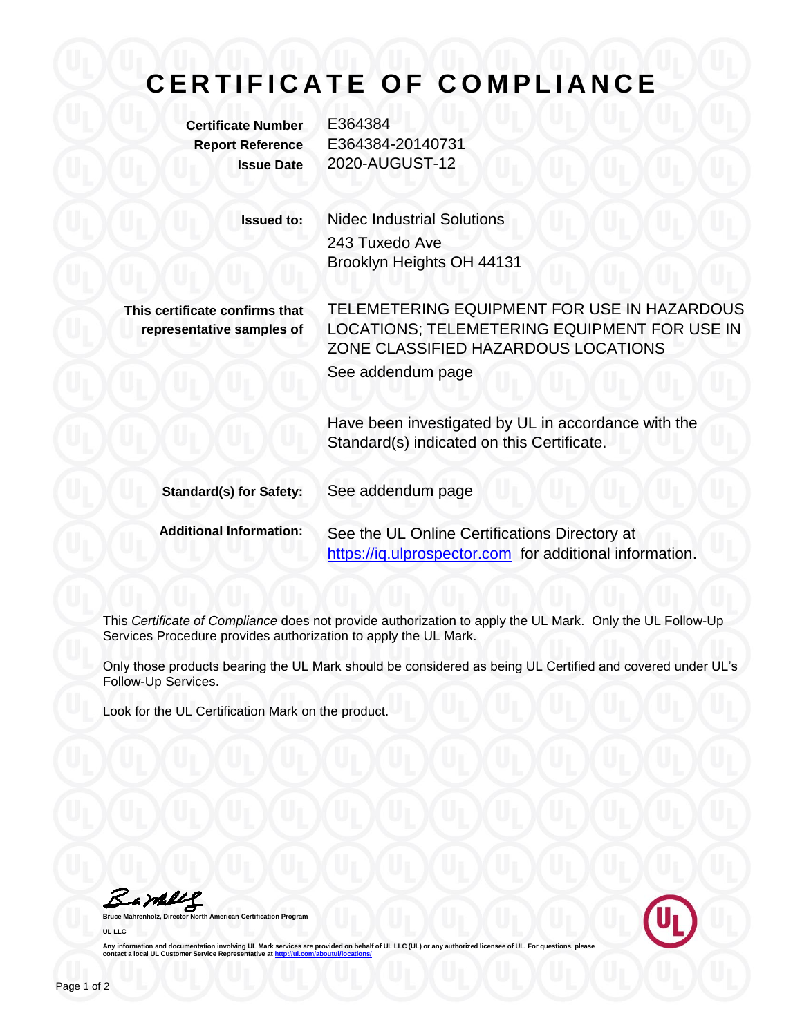## **C E R T I F I C A T E O F C O M P L I A N C E**

**Certificate Number** E364384

**Report Reference** E364384-20140731 **Issue Date** 2020-AUGUST-12

> **Issued to:** Nidec Industrial Solutions 243 Tuxedo Ave Brooklyn Heights OH 44131

**This certificate confirms that representative samples of**

TELEMETERING EQUIPMENT FOR USE IN HAZARDOUS LOCATIONS; TELEMETERING EQUIPMENT FOR USE IN ZONE CLASSIFIED HAZARDOUS LOCATIONS See addendum page

Have been investigated by UL in accordance with the Standard(s) indicated on this Certificate.

**Standard(s) for Safety:** See addendum page

**Additional Information:** See the UL Online Certifications Directory at https://iq.ulprospector.com for additional information.

This *Certificate of Compliance* does not provide authorization to apply the UL Mark. Only the UL Follow-Up Services Procedure provides authorization to apply the UL Mark.

Only those products bearing the UL Mark should be considered as being UL Certified and covered under UL's Follow-Up Services.

Look for the UL Certification Mark on the product.

Bampe

**American Certification Program UL LLC**



Any information and documentation involving UL Mark services are provided on behalf of UL LLC (UL) or any authorized licensee of UL. For questions, please<br>contact a local UL Customer Service Representative at <u>http://ul.co</u>